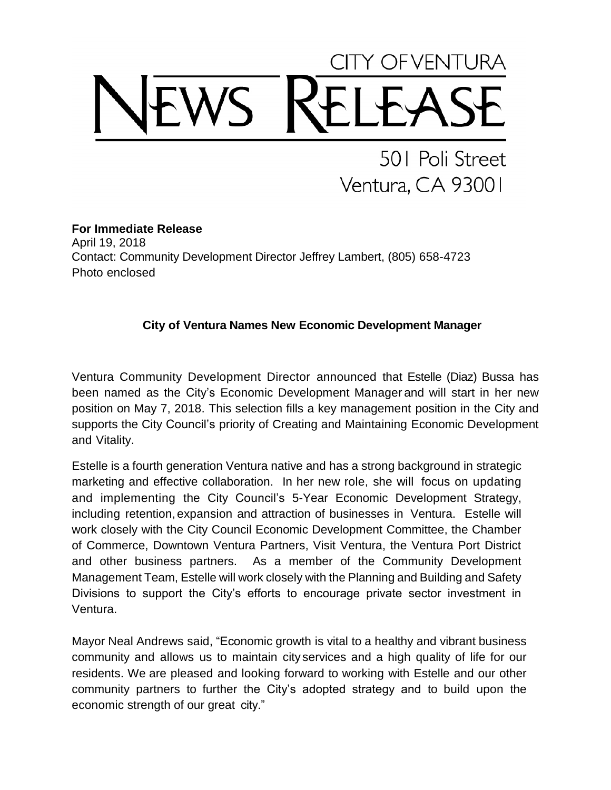## Y OFVENTURA

501 Poli Street Ventura, CA 93001

**For Immediate Release** April 19, 2018 Contact: Community Development Director Jeffrey Lambert, (805) 658-4723 Photo enclosed

## **City of Ventura Names New Economic Development Manager**

Ventura Community Development Director announced that Estelle (Diaz) Bussa has been named as the City's Economic Development Manager and will start in her new position on May 7, 2018. This selection fills a key management position in the City and supports the City Council's priority of Creating and Maintaining Economic Development and Vitality.

Estelle is a fourth generation Ventura native and has a strong background in strategic marketing and effective collaboration. In her new role, she will focus on updating and implementing the City Council's 5-Year Economic Development Strategy, including retention, expansion and attraction of businesses in Ventura. Estelle will work closely with the City Council Economic Development Committee, the Chamber of Commerce, Downtown Ventura Partners, Visit Ventura, the Ventura Port District and other business partners. As a member of the Community Development Management Team, Estelle will work closely with the Planning and Building and Safety Divisions to support the City's efforts to encourage private sector investment in Ventura.

Mayor Neal Andrews said, "Economic growth is vital to a healthy and vibrant business community and allows us to maintain city services and a high quality of life for our residents. We are pleased and looking forward to working with Estelle and our other community partners to further the City's adopted strategy and to build upon the economic strength of our great city."